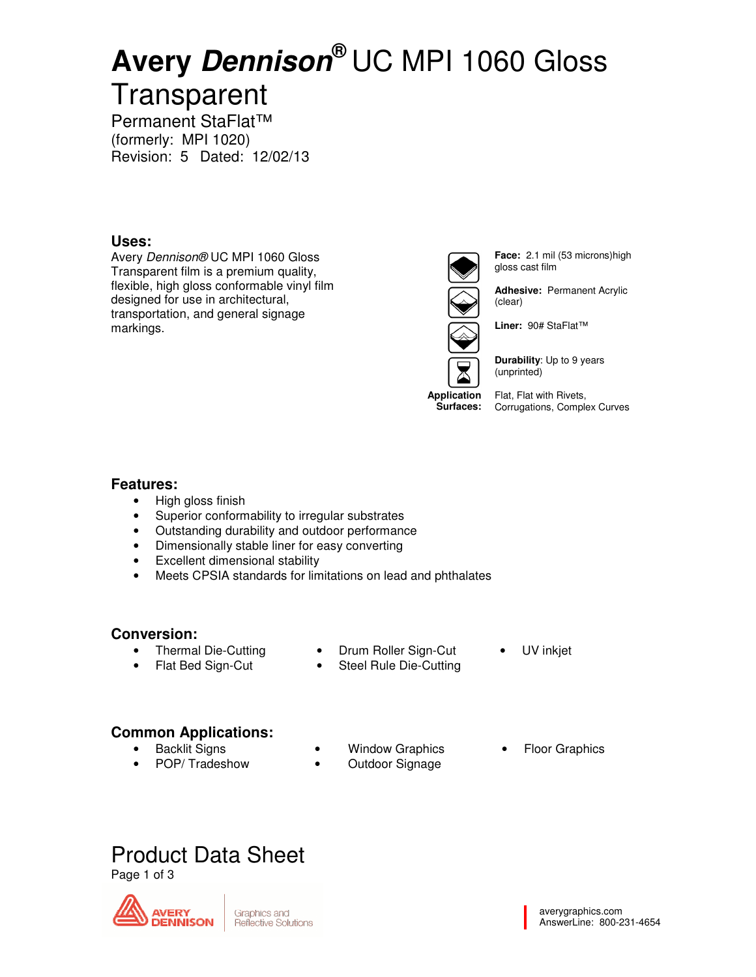# **Avery Dennison®** UC MPI 1060 Gloss

# **Transparent** Permanent StaFlat™

(formerly: MPI 1020) Revision: 5 Dated: 12/02/13

# **Uses:**

Avery Dennison® UC MPI 1060 Gloss Transparent film is a premium quality, flexible, high gloss conformable vinyl film designed for use in architectural, transportation, and general signage markings.



**Face:** 2.1 mil (53 microns)high gloss cast film

**Adhesive:** Permanent Acrylic (clear)

**Liner:** 90# StaFlat™



**Durability**: Up to 9 years (unprinted)

**Application Surfaces:**  Flat, Flat with Rivets, Corrugations, Complex Curves

# **Features:**

- High gloss finish
- Superior conformability to irregular substrates
- Outstanding durability and outdoor performance
- Dimensionally stable liner for easy converting
- Excellent dimensional stability
- Meets CPSIA standards for limitations on lead and phthalates

## **Conversion:**

- Thermal Die-Cutting
- Flat Bed Sign-Cut
- Drum Roller Sign-Cut
- Steel Rule Die-Cutting
- UV inkjet

- **Common Applications:**
	- **Backlit Signs**
	- POP/ Tradeshow
- **Window Graphics**
- Outdoor Signage
- **Floor Graphics**

# Product Data Sheet

Page 1 of 3



Graphics and **Reflective Solutions**  averygraphics.com AnswerLine: 800-231-4654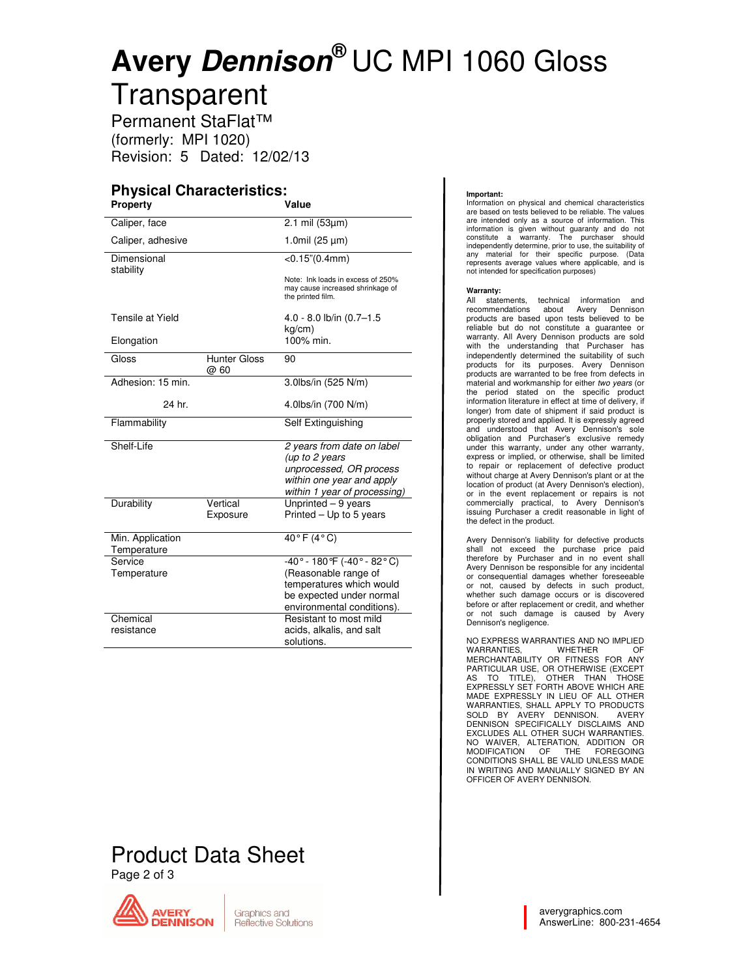# **Avery Dennison®** UC MPI 1060 Gloss

**Transparent** Permanent StaFlat™ (formerly: MPI 1020)

Revision: 5 Dated: 12/02/13

# **Physical Characteristics:**

| <b>Property</b>          |                             | Value                                                                                      |
|--------------------------|-----------------------------|--------------------------------------------------------------------------------------------|
| Caliper, face            |                             | $2.1$ mil (53 $\mu$ m)                                                                     |
| Caliper, adhesive        |                             | 1.0mil $(25 \mu m)$                                                                        |
| Dimensional<br>stability |                             | $<$ 0.15" $(0.4$ mm $)$                                                                    |
|                          |                             | Note: Ink loads in excess of 250%<br>may cause increased shrinkage of<br>the printed film. |
| Tensile at Yield         |                             | 4.0 - 8.0 lb/in (0.7-1.5<br>kg/cm)                                                         |
| Elongation               |                             | 100% min.                                                                                  |
| Gloss                    | <b>Hunter Gloss</b><br>@ 60 | 90                                                                                         |
| Adhesion: 15 min.        |                             | 3.0lbs/in (525 N/m)                                                                        |
| 24 hr.                   |                             | 4.0lbs/in (700 N/m)                                                                        |
| Flammability             |                             | Self Extinguishing                                                                         |
| Shelf-Life               |                             | 2 years from date on label<br>(up to 2 years                                               |
|                          |                             | unprocessed, OR process                                                                    |
|                          |                             | within one year and apply                                                                  |
|                          |                             | within 1 year of processing)                                                               |
| Durability               | Vertical                    | Unprinted - 9 years                                                                        |
|                          | Exposure                    | Printed - Up to 5 years                                                                    |
| Min. Application         |                             | $40^{\circ}$ F (4°C)                                                                       |
| Temperature              |                             |                                                                                            |
| Service                  |                             | $-40^{\circ} - 180^{\circ}F (-40^{\circ} - 82^{\circ}C)$                                   |
| Temperature              |                             | (Reasonable range of                                                                       |
|                          |                             | temperatures which would                                                                   |
|                          |                             | be expected under normal                                                                   |
| Chemical                 |                             | environmental conditions).<br>Resistant to most mild                                       |
| resistance               |                             | acids, alkalis, and salt                                                                   |
|                          |                             | solutions.                                                                                 |

# Product Data Sheet

Page 2 of 3



#### **Important:**

Information on physical and chemical characteristics are based on tests believed to be reliable. The values are intended only as a source of information. This information is given without guaranty and do not constitute a warranty. The purchaser should independently determine, prior to use, the suitability of any material for their specific purpose. (Data represents average values where applicable, and is not intended for specification purposes)

#### **Warranty:**

All statements, technical information and recommendations about Avery Dennison products are based upon tests believed to be reliable but do not constitute a guarantee or warranty. All Avery Dennison products are sold with the understanding that Purchaser has independently determined the suitability of such products for its purposes. Avery Dennison products are warranted to be free from defects in material and workmanship for either two years (or the period stated on the specific product information literature in effect at time of delivery, if longer) from date of shipment if said product is properly stored and applied. It is expressly agreed and understood that Avery Dennison's sole obligation and Purchaser's exclusive remedy under this warranty, under any other warranty, express or implied, or otherwise, shall be limited to repair or replacement of defective product without charge at Avery Dennison's plant or at the location of product (at Avery Dennison's election), or in the event replacement or repairs is not commercially practical, to Avery Dennison's issuing Purchaser a credit reasonable in light of the defect in the product.

Avery Dennison's liability for defective products shall not exceed the purchase price paid therefore by Purchaser and in no event shall Avery Dennison be responsible for any incidental or consequential damages whether foreseeable or not, caused by defects in such product, whether such damage occurs or is discovered before or after replacement or credit, and whether or not such damage is caused by Avery Dennison's negligence.

NO EXPRESS WARRANTIES AND NO IMPLIED WARRANTIES, WHETHER OF MERCHANTABILITY OR FITNESS FOR ANY PARTICULAR USE, OR OTHERWISE (EXCEPT AS TO TITLE), OTHER THAN THOSE EXPRESSLY SET FORTH ABOVE WHICH ARE MADE EXPRESSLY IN LIEU OF ALL OTHER WARRANTIES, SHALL APPLY TO PRODUCTS<br>SOLD BY AVERY DENNISON. AVERY<br>DENNISON SPECIFICALLY DISCLAIMS AND EXCLUDES ALL OTHER SUCH WARRANTIES. NO WAIVER, ALTERATION, ADDITION OR MODIFICATION OF THE FOREGOING CONDITIONS SHALL BE VALID UNLESS MADE IN WRITING AND MANUALLY SIGNED BY AN OFFICER OF AVERY DENNISON.